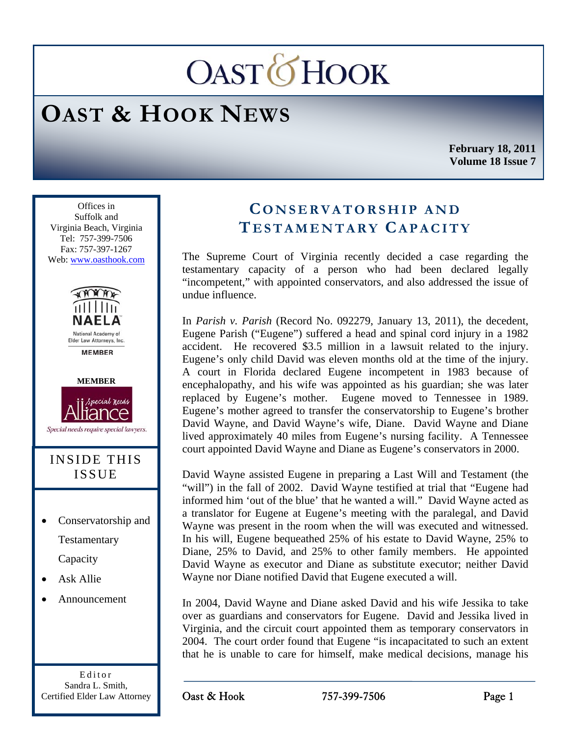# **OASTOHOOK**

## **OAST & HOOK NEWS**

**February 18, 2011 Volume 18 Issue 7** 

Ī Offices in Suffolk and Virginia Beach, Virginia Tel: 757-399-7506 Fax: 757-397-1267 Web: www.oasthook.com



**MEMBER** 



Special needs require special lawyers.

## INSIDE THIS ISSUE

- Conservatorship and Testamentary Capacity
- Ask Allie
- Announcement

Editor Sandra L. Smith, Certified Elder Law Attorney

## **CONSERVATORSHIP AND T ESTAMENTARY CAPACITY**

The Supreme Court of Virginia recently decided a case regarding the testamentary capacity of a person who had been declared legally "incompetent," with appointed conservators, and also addressed the issue of undue influence.

In *Parish v. Parish* (Record No. 092279, January 13, 2011), the decedent, Eugene Parish ("Eugene") suffered a head and spinal cord injury in a 1982 accident. He recovered \$3.5 million in a lawsuit related to the injury. Eugene's only child David was eleven months old at the time of the injury. A court in Florida declared Eugene incompetent in 1983 because of encephalopathy, and his wife was appointed as his guardian; she was later replaced by Eugene's mother. Eugene moved to Tennessee in 1989. Eugene's mother agreed to transfer the conservatorship to Eugene's brother David Wayne, and David Wayne's wife, Diane. David Wayne and Diane lived approximately 40 miles from Eugene's nursing facility. A Tennessee court appointed David Wayne and Diane as Eugene's conservators in 2000.

David Wayne assisted Eugene in preparing a Last Will and Testament (the "will") in the fall of 2002. David Wayne testified at trial that "Eugene had informed him 'out of the blue' that he wanted a will." David Wayne acted as a translator for Eugene at Eugene's meeting with the paralegal, and David Wayne was present in the room when the will was executed and witnessed. In his will, Eugene bequeathed 25% of his estate to David Wayne, 25% to Diane, 25% to David, and 25% to other family members. He appointed David Wayne as executor and Diane as substitute executor; neither David Wayne nor Diane notified David that Eugene executed a will.

In 2004, David Wayne and Diane asked David and his wife Jessika to take over as guardians and conservators for Eugene. David and Jessika lived in Virginia, and the circuit court appointed them as temporary conservators in 2004. The court order found that Eugene "is incapacitated to such an extent that he is unable to care for himself, make medical decisions, manage his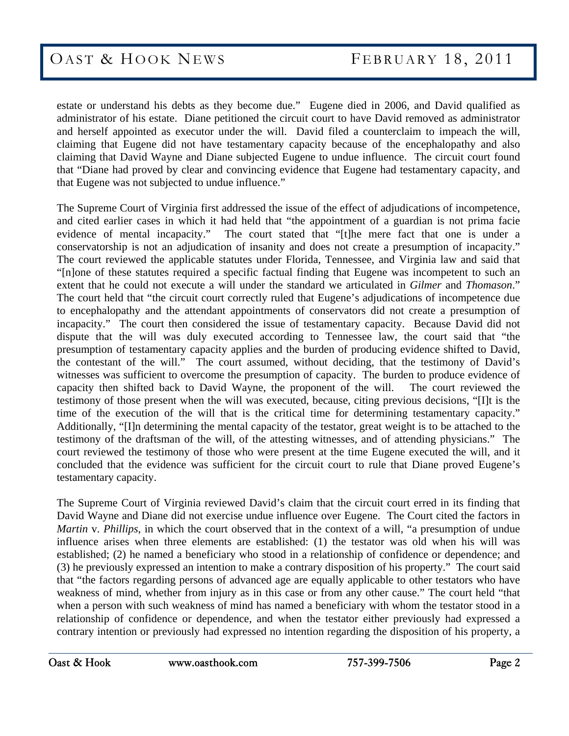estate or understand his debts as they become due." Eugene died in 2006, and David qualified as administrator of his estate. Diane petitioned the circuit court to have David removed as administrator and herself appointed as executor under the will. David filed a counterclaim to impeach the will, claiming that Eugene did not have testamentary capacity because of the encephalopathy and also claiming that David Wayne and Diane subjected Eugene to undue influence. The circuit court found that "Diane had proved by clear and convincing evidence that Eugene had testamentary capacity, and that Eugene was not subjected to undue influence."

The Supreme Court of Virginia first addressed the issue of the effect of adjudications of incompetence, and cited earlier cases in which it had held that "the appointment of a guardian is not prima facie evidence of mental incapacity." The court stated that "[t]he mere fact that one is under a conservatorship is not an adjudication of insanity and does not create a presumption of incapacity." The court reviewed the applicable statutes under Florida, Tennessee, and Virginia law and said that "[n]one of these statutes required a specific factual finding that Eugene was incompetent to such an extent that he could not execute a will under the standard we articulated in *Gilmer* and *Thomason*." The court held that "the circuit court correctly ruled that Eugene's adjudications of incompetence due to encephalopathy and the attendant appointments of conservators did not create a presumption of incapacity." The court then considered the issue of testamentary capacity. Because David did not dispute that the will was duly executed according to Tennessee law, the court said that "the presumption of testamentary capacity applies and the burden of producing evidence shifted to David, the contestant of the will." The court assumed, without deciding, that the testimony of David's witnesses was sufficient to overcome the presumption of capacity. The burden to produce evidence of capacity then shifted back to David Wayne, the proponent of the will. The court reviewed the testimony of those present when the will was executed, because, citing previous decisions, "[I]t is the time of the execution of the will that is the critical time for determining testamentary capacity." Additionally, "[I]n determining the mental capacity of the testator, great weight is to be attached to the testimony of the draftsman of the will, of the attesting witnesses, and of attending physicians." The court reviewed the testimony of those who were present at the time Eugene executed the will, and it concluded that the evidence was sufficient for the circuit court to rule that Diane proved Eugene's testamentary capacity.

The Supreme Court of Virginia reviewed David's claim that the circuit court erred in its finding that David Wayne and Diane did not exercise undue influence over Eugene. The Court cited the factors in *Martin* v. *Phillips*, in which the court observed that in the context of a will, "a presumption of undue influence arises when three elements are established: (1) the testator was old when his will was established; (2) he named a beneficiary who stood in a relationship of confidence or dependence; and (3) he previously expressed an intention to make a contrary disposition of his property." The court said that "the factors regarding persons of advanced age are equally applicable to other testators who have weakness of mind, whether from injury as in this case or from any other cause." The court held "that when a person with such weakness of mind has named a beneficiary with whom the testator stood in a relationship of confidence or dependence, and when the testator either previously had expressed a contrary intention or previously had expressed no intention regarding the disposition of his property, a